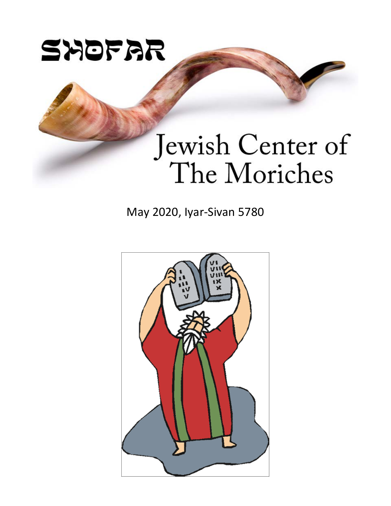

# Jewish Center of The Moriches

May 2020, Iyar-Sivan 5780

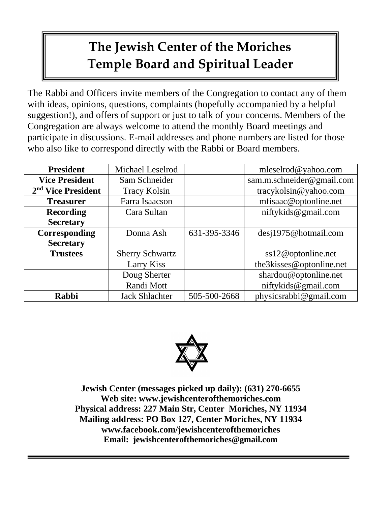# **The Jewish Center of the Moriches Temple Board and Spiritual Leader**

The Rabbi and Officers invite members of the Congregation to contact any of them with ideas, opinions, questions, complaints (hopefully accompanied by a helpful suggestion!), and offers of support or just to talk of your concerns. Members of the Congregation are always welcome to attend the monthly Board meetings and participate in discussions. E-mail addresses and phone numbers are listed for those who also like to correspond directly with the Rabbi or Board members.

| <b>President</b>               | Michael Leselrod       |              | mleselrod@yahoo.com       |
|--------------------------------|------------------------|--------------|---------------------------|
| <b>Vice President</b>          | Sam Schneider          |              | sam.m.schneider@gmail.com |
| 2 <sup>nd</sup> Vice President | <b>Tracy Kolsin</b>    |              | tracykolsin@yahoo.com     |
| <b>Treasurer</b>               | Farra Isaacson         |              | mfisaac@optonline.net     |
| <b>Recording</b>               | Cara Sultan            |              | niftykids@gmail.com       |
| <b>Secretary</b>               |                        |              |                           |
| Corresponding                  | Donna Ash              | 631-395-3346 | desj1975@hotmail.com      |
| <b>Secretary</b>               |                        |              |                           |
| <b>Trustees</b>                | <b>Sherry Schwartz</b> |              | $ss12@$ optonline.net     |
|                                | Larry Kiss             |              | the3kisses@optonline.net  |
|                                | Doug Sherter           |              | shardou@optonline.net     |
|                                | Randi Mott             |              | niftykids@gmail.com       |
| <b>Rabbi</b>                   | <b>Jack Shlachter</b>  | 505-500-2668 | physicsrabbi@gmail.com    |



**Jewish Center (messages picked up daily): (631) 270-6655 Web site: [www.jewishcenterofthemoriches.com](http://www.jewishcenterofthemoriches.com/) Physical address: 227 Main Str, Center Moriches, NY 11934 Mailing address: PO Box 127, Center Moriches, NY 11934 [www.facebook.com/jewishcenterofthemoriches](http://www.facebook.com/jewishcenterofthemoriches) Email: [jewishcenterofthemoriches@gmail.com](mailto:jewishcenterofthemoriches@gmail.com)**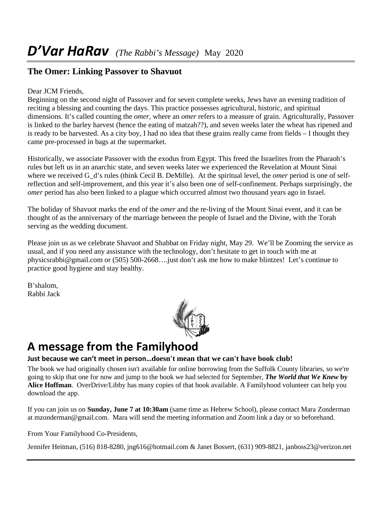#### **The Omer: Linking Passover to Shavuot**

#### Dear JCM Friends,

Beginning on the second night of Passover and for seven complete weeks, Jews have an evening tradition of reciting a blessing and counting the days. This practice possesses agricultural, historic, and spiritual dimensions. It's called counting the *omer*, where an *omer* refers to a measure of grain. Agriculturally, Passover is linked to the barley harvest (hence the eating of matzah??), and seven weeks later the wheat has ripened and is ready to be harvested. As a city boy, I had no idea that these grains really came from fields – I thought they came pre-processed in bags at the supermarket.

Historically, we associate Passover with the exodus from Egypt. This freed the Israelites from the Pharaoh's rules but left us in an anarchic state, and seven weeks later we experienced the Revelation at Mount Sinai where we received G\_d's rules (think Cecil B. DeMille). At the spiritual level, the *omer* period is one of selfreflection and self-improvement, and this year it's also been one of self-confinement. Perhaps surprisingly, the *omer* period has also been linked to a plague which occurred almost two thousand years ago in Israel.

The holiday of Shavuot marks the end of the *omer* and the re-living of the Mount Sinai event, and it can be thought of as the anniversary of the marriage between the people of Israel and the Divine, with the Torah serving as the wedding document.

Please join us as we celebrate Shavuot and Shabbat on Friday night, May 29. We'll be Zooming the service as usual, and if you need any assistance with the technology, don't hesitate to get in touch with me at [physicsrabbi@gmail.com](mailto:physicsrabbi@gmail.com) or (505) 500-2668….just don't ask me how to make blintzes! Let's continue to practice good hygiene and stay healthy.

B'shalom, Rabbi Jack



## **A message from the Familyhood**

#### **Just because we can't meet in person…doesn't mean that we can't have book club!**

The book we had originally chosen isn't available for online borrowing from the Suffolk County libraries, so we're going to skip that one for now and jump to the book we had selected for September, *The World that We Knew* **by Alice Hoffman**. OverDrive/Libby has many copies of that book available. A Familyhood volunteer can help you download the app.

If you can join us on **Sunday, June 7 at 10:30am** (same time as Hebrew School), please contact Mara Zonderman at mzonderman@gmail.com. Mara will send the meeting information and Zoom link a day or so beforehand.

From Your Familyhood Co-Presidents,

Jennifer Heitman, (516) 818-8280, [jng616@hotmail.com](mailto:jng616@hotmail.com) & Janet Bossert, (631) 909-8821, [janboss23@verizon.net](mailto:janboss23@verizon.net)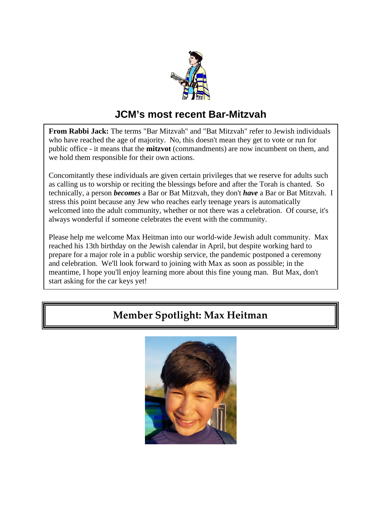

#### **JCM's most recent Bar-Mitzvah**

**From Rabbi Jack:** The terms "Bar Mitzvah" and "Bat Mitzvah" refer to Jewish individuals who have reached the age of majority. No, this doesn't mean they get to vote or run for public office - it means that the **mitzvot** (commandments) are now incumbent on them, and we hold them responsible for their own actions.

Concomitantly these individuals are given certain privileges that we reserve for adults such as calling us to worship or reciting the blessings before and after the Torah is chanted. So technically, a person *becomes* a Bar or Bat Mitzvah, they don't *have* a Bar or Bat Mitzvah. I stress this point because any Jew who reaches early teenage years is automatically welcomed into the adult community, whether or not there was a celebration. Of course, it's always wonderful if someone celebrates the event with the community.

Please help me welcome Max Heitman into our world-wide Jewish adult community. Max reached his 13th birthday on the Jewish calendar in April, but despite working hard to prepare for a major role in a public worship service, the pandemic postponed a ceremony and celebration. We'll look forward to joining with Max as soon as possible; in the meantime, I hope you'll enjoy learning more about this fine young man. But Max, don't start asking for the car keys yet!

#### **Member Spotlight: Max Heitman**

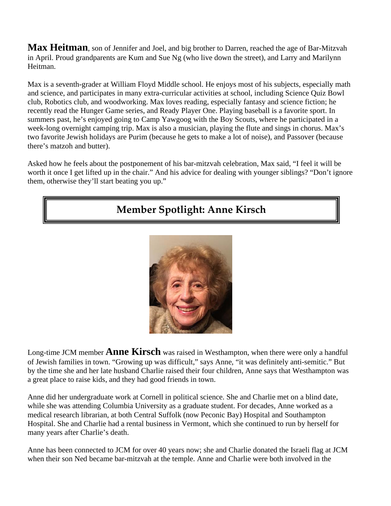**Max Heitman**, son of Jennifer and Joel, and big brother to Darren, reached the age of Bar-Mitzvah in April. Proud grandparents are Kum and Sue Ng (who live down the street), and Larry and Marilynn Heitman.

Max is a seventh-grader at William Floyd Middle school. He enjoys most of his subjects, especially math and science, and participates in many extra-curricular activities at school, including Science Quiz Bowl club, Robotics club, and woodworking. Max loves reading, especially fantasy and science fiction; he recently read the Hunger Game series, and Ready Player One. Playing baseball is a favorite sport. In summers past, he's enjoyed going to Camp Yawgoog with the Boy Scouts, where he participated in a week-long overnight camping trip. Max is also a musician, playing the flute and sings in chorus. Max's two favorite Jewish holidays are Purim (because he gets to make a lot of noise), and Passover (because there's matzoh and butter).

Asked how he feels about the postponement of his bar-mitzvah celebration, Max said, "I feel it will be worth it once I get lifted up in the chair." And his advice for dealing with younger siblings? "Don't ignore them, otherwise they'll start beating you up."

#### **Member Spotlight: Anne Kirsch**



Long-time JCM member **Anne Kirsch** was raised in Westhampton, when there were only a handful of Jewish families in town. "Growing up was difficult," says Anne, "it was definitely anti-semitic." But by the time she and her late husband Charlie raised their four children, Anne says that Westhampton was a great place to raise kids, and they had good friends in town.

Anne did her undergraduate work at Cornell in political science. She and Charlie met on a blind date, while she was attending Columbia University as a graduate student. For decades, Anne worked as a medical research librarian, at both Central Suffolk (now Peconic Bay) Hospital and Southampton Hospital. She and Charlie had a rental business in Vermont, which she continued to run by herself for many years after Charlie's death.

Anne has been connected to JCM for over 40 years now; she and Charlie donated the Israeli flag at JCM when their son Ned became bar-mitzvah at the temple. Anne and Charlie were both involved in the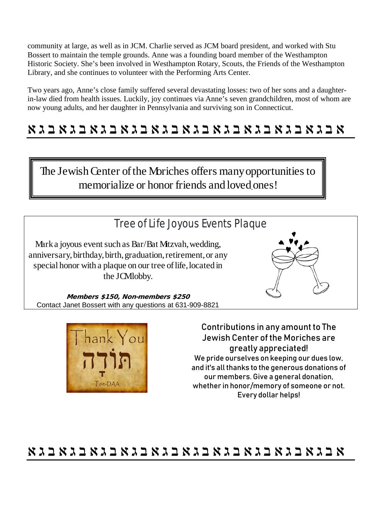community at large, as well as in JCM. Charlie served as JCM board president, and worked with Stu Bossert to maintain the temple grounds. Anne was a founding board member of the Westhampton Historic Society. She's been involved in Westhampton Rotary, Scouts, the Friends of the Westhampton Library, and she continues to volunteer with the Performing Arts Center.

Two years ago, Anne's close family suffered several devastating losses: two of her sons and a daughterin-law died from health issues. Luckily, joy continues via Anne's seven grandchildren, most of whom are now young adults, and her daughter in Pennsylvania and surviving son in Connecticut.

## **ℵ ℷ ℶ ℵ ℷ ℶ ℵ ℷ ℶ ℵ ℷ ℶ ℵ ℷ ℶ ℵ ℷ ℶ ℵ ℷ ℶ ℵ ℷ ℶ ℵ ℷ ℶ ℵ ℷ ℶ ℵ**

The Jewish Center of the Moriches offers many opportunities to memorialize or honor friends and loved ones!

#### Tree of Life Joyous Events Plaque

Mark a joyous event such as Bar/Bat Mitzvah, wedding, anniversary, birthday, birth, graduation, retirement, or any special honor with a plaque on our tree of life, located in the JCM lobby.



Members \$150, Non-members \$250 Contact Janet Bossert with any questions at 631-909-8821



Contributions in any amount to The Jewish Center of the Moriches are greatly appreciated! We pride ourselves on keeping our dues low, and it's all thanks to the generous donations of our members. Give a general donation, whether in honor/memory of someone or not. Every dollar helps!

## **ℵ ℷ ℶ ℵ ℷ ℶ ℵ ℷ ℶ ℵ ℷ ℶ ℵ ℷ ℶ ℵ ℷ ℶ ℵ ℷ ℶ ℵ ℷ ℶ ℵ ℷ ℶ ℵ ℷ ℶ ℵ**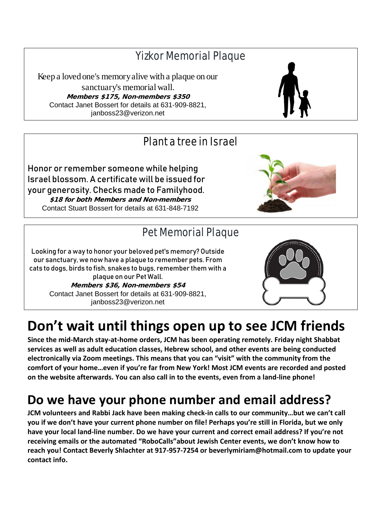## Yizkor Memorial Plaque

Keep a loved one's memory alive with a plaque on our sanctuary's memorial wall. Members \$175, Non-members \$350 Contact Janet Bossert for details at 631-909-8821, janboss23@verizon.net

#### Plant a tree in Israel

Honor or remember someone while helping Israel blossom. A certificate will be issued for your generosity. Checks made to Familyhood. \$18 for both Members and Non-members Contact Stuart Bossert for details at 631-848-7192

#### Pet Memorial Plaque

Looking for a way to honor your beloved pet's memory? Outside our sanctuary, we now have a plaque to remember pets. From cats to dogs, birds to fish, snakes to bugs, remember them with a plaque on our Pet Wall. Members \$36, Non-members \$54 Contact Janet Bossert for details at 631-909-8821, janboss23@verizon.net

# **Don't wait until things open up to see JCM friends**

**Since the mid-March stay-at-home orders, JCM has been operating remotely. Friday night Shabbat services as well as adult education classes, Hebrew school, and other events are being conducted electronically via Zoom meetings. This means that you can "visit" with the community from the comfort of your home…even if you're far from New York! Most JCM events are recorded and posted on the website afterwards. You can also call in to the events, even from a land-line phone!**

# **Do we have your phone number and email address?**

**JCM volunteers and Rabbi Jack have been making check-in calls to our community…but we can't call you if we don't have your current phone number on file! Perhaps you're still in Florida, but we only have your local land-line number. Do we have your current and correct email address? If you're not receiving emails or the automated "RoboCalls"about Jewish Center events, we don't know how to reach you! Contact Beverly Shlachter at 917-957-7254 or [beverlymiriam@hotmail.com](mailto:beverlymiriam@hotmail.com) to update your contact info.**







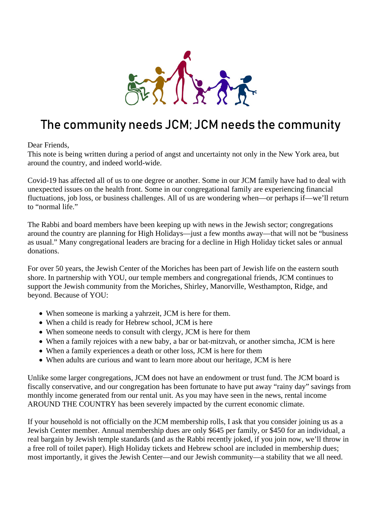

## The community needs JCM; JCM needs the community

Dear Friends,

This note is being written during a period of angst and uncertainty not only in the New York area, but around the country, and indeed world-wide.

Covid-19 has affected all of us to one degree or another. Some in our JCM family have had to deal with unexpected issues on the health front. Some in our congregational family are experiencing financial fluctuations, job loss, or business challenges. All of us are wondering when—or perhaps if—we'll return to "normal life."

The Rabbi and board members have been keeping up with news in the Jewish sector; congregations around the country are planning for High Holidays—just a few months away—that will not be "business as usual." Many congregational leaders are bracing for a decline in High Holiday ticket sales or annual donations.

For over 50 years, the Jewish Center of the Moriches has been part of Jewish life on the eastern south shore. In partnership with YOU, our temple members and congregational friends, JCM continues to support the Jewish community from the Moriches, Shirley, Manorville, Westhampton, Ridge, and beyond. Because of YOU:

- When someone is marking a yahrzeit, JCM is here for them.
- When a child is ready for Hebrew school, JCM is here
- When someone needs to consult with clergy, JCM is here for them
- When a family rejoices with a new baby, a bar or bat-mitzvah, or another simcha, JCM is here
- When a family experiences a death or other loss, JCM is here for them
- When adults are curious and want to learn more about our heritage, JCM is here

Unlike some larger congregations, JCM does not have an endowment or trust fund. The JCM board is fiscally conservative, and our congregation has been fortunate to have put away "rainy day" savings from monthly income generated from our rental unit. As you may have seen in the news, rental income AROUND THE COUNTRY has been severely impacted by the current economic climate.

If your household is not officially on the JCM membership rolls, I ask that you consider joining us as a Jewish Center member. Annual membership dues are only \$645 per family, or \$450 for an individual, a real bargain by Jewish temple standards (and as the Rabbi recently joked, if you join now, we'll throw in a free roll of toilet paper). High Holiday tickets and Hebrew school are included in membership dues; most importantly, it gives the Jewish Center—and our Jewish community—a stability that we all need.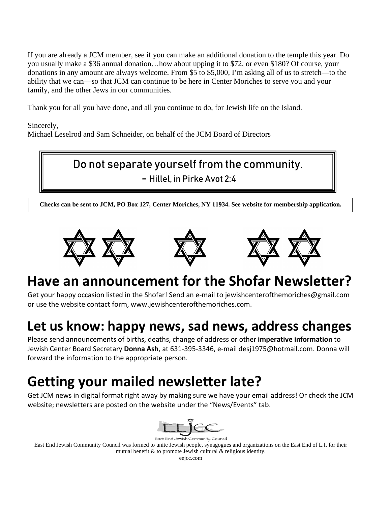If you are already a JCM member, see if you can make an additional donation to the temple this year. Do you usually make a \$36 annual donation…how about upping it to \$72, or even \$180? Of course, your donations in any amount are always welcome. From \$5 to \$5,000, I'm asking all of us to stretch—to the ability that we can—so that JCM can continue to be here in Center Moriches to serve you and your family, and the other Jews in our communities.

Thank you for all you have done, and all you continue to do, for Jewish life on the Island.

Sincerely,

Michael Leselrod and Sam Schneider, on behalf of the JCM Board of Directors

#### Do not separate yourself from the community.

- Hillel, in Pirke Avot 2:4

**Checks can be sent to JCM, PO Box 127, Center Moriches, NY 11934. See website for membership application.**







# **Have an announcement for the Shofar Newsletter?**

Get your happy occasion listed in the Shofar! Send an e-mail to [jewishcenterofthemoriches@gmail.com](mailto:jewishcenterofthemoriches@gmail.com) or use the website contact form, [www.jewishcenterofthemoriches.com.](http://www.jewishcenterofthemoriches.com/)

# **Let us know: happy news, sad news, address changes**

Please send announcements of births, deaths, change of address or other **imperative information** to Jewish Center Board Secretary **Donna Ash**, at 631-395-3346, e-mail desj1975@hotmail.com. Donna will forward the information to the appropriate person.

# **Getting your mailed newsletter late?**

Get JCM news in digital format right away by making sure we have your email address! Or check the JCM website; newsletters are posted on the website under the "News/Events" tab.



East End Jewish Community Council was formed to unite Jewish people, synagogues and organizations on the East End of L.I. for their mutual benefit & to promote Jewish cultural & religious identity.

eejcc.com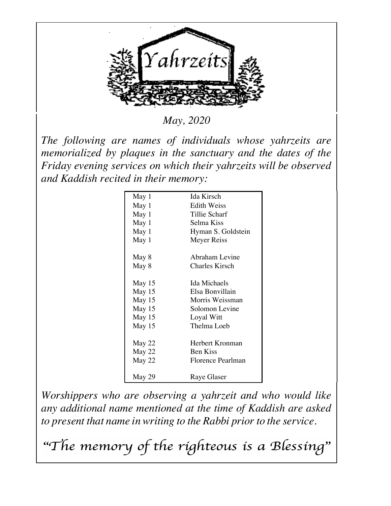

*May, 2020*

*The following are names of individuals whose yahrzeits are memorialized by plaques in the sanctuary and the dates of the Friday evening services on which their yahrzeits will be observed and Kaddish recited in their memory:*

| May 1  | Ida Kirsch            |  |
|--------|-----------------------|--|
| May 1  | <b>Edith Weiss</b>    |  |
| May 1  | Tillie Scharf         |  |
| May 1  | Selma Kiss            |  |
| May 1  | Hyman S. Goldstein    |  |
| May 1  | Meyer Reiss           |  |
| May 8  | Abraham Levine        |  |
| May 8  | <b>Charles Kirsch</b> |  |
| May 15 | <b>Ida Michaels</b>   |  |
| May 15 | Elsa Bonvillain       |  |
| May 15 | Morris Weissman       |  |
| May 15 | Solomon Levine        |  |
| May 15 | Loyal Witt            |  |
| May 15 | Thelma Loeb           |  |
| May 22 | Herbert Kronman       |  |
| May 22 | <b>Ben Kiss</b>       |  |
| May 22 | Florence Pearlman     |  |
| May 29 | Raye Glaser           |  |
|        |                       |  |

*Worshippers who are observing a yahrzeit and who would like any additional name mentioned at the time of Kaddish are asked to present that name in writing to the Rabbi prior to the service.* 

"The memory of the righteous is a Blessing"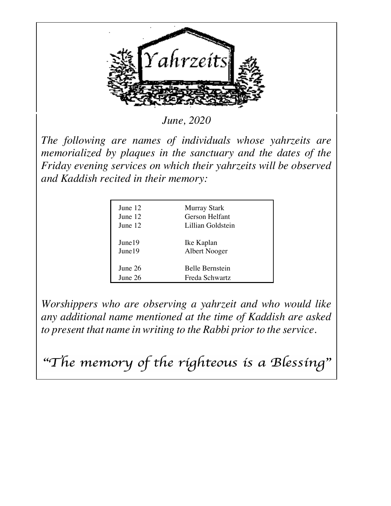

*June, 2020*

*The following are names of individuals whose yahrzeits are memorialized by plaques in the sanctuary and the dates of the Friday evening services on which their yahrzeits will be observed and Kaddish recited in their memory:*

| June 12 | <b>Murray Stark</b> |
|---------|---------------------|
| June 12 | Gerson Helfant      |
| June 12 | Lillian Goldstein   |
| June 19 | Ike Kaplan          |
| June 19 | Albert Nooger       |
| June 26 | Belle Bernstein     |
| June 26 | Freda Schwartz      |

*Worshippers who are observing a yahrzeit and who would like any additional name mentioned at the time of Kaddish are asked to present that name in writing to the Rabbi prior to the service.* 

"The memory of the righteous is a Blessing"